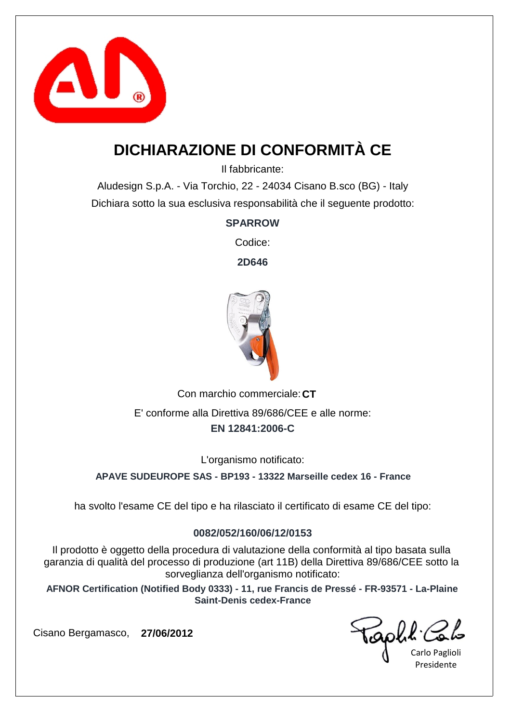

## **DICHIARAZIONE DI CONFORMITÀ CE**

Il fabbricante:

Aludesign S.p.A. - Via Torchio, 22 - 24034 Cisano B.sco (BG) - Italy Dichiara sotto la sua esclusiva responsabilità che il seguente prodotto:

**SPARROW**

Codice:

**2D646**



Con marchio commerciale: CT **EN 12841:2006-C** E' conforme alla Direttiva 89/686/CEE e alle norme:

L'organismo notificato:

**APAVE SUDEUROPE SAS - BP193 - 13322 Marseille cedex 16 - France**

ha svolto l'esame CE del tipo e ha rilasciato il certificato di esame CE del tipo:

#### **0082/052/160/06/12/0153**

Il prodotto è oggetto della procedura di valutazione della conformità al tipo basata sulla garanzia di qualità del processo di produzione (art 11B) della Direttiva 89/686/CEE sotto la sorveglianza dell'organismo notificato:

**AFNOR Certification (Notified Body 0333) - 11, rue Francis de Pressé - FR-93571 - La-Plaine Saint-Denis cedex-France**

Carlo Paglioli Presidente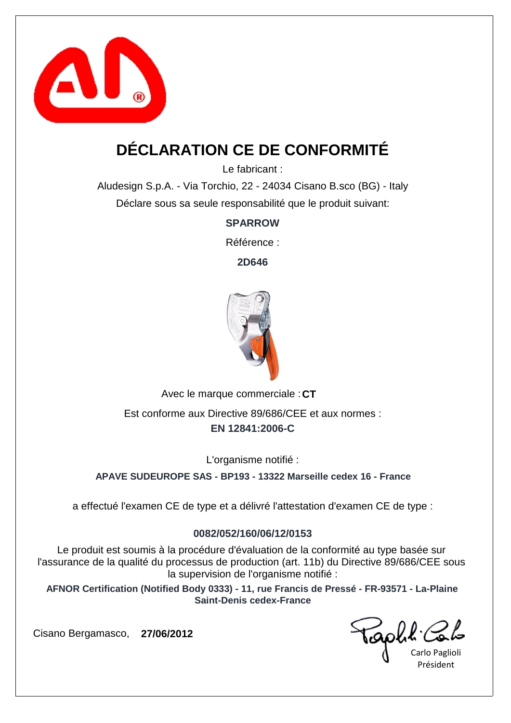

# **DÉCLARATION CE DE CONFORMITÉ**

Le fabricant :

Aludesign S.p.A. - Via Torchio, 22 - 24034 Cisano B.sco (BG) - Italy Déclare sous sa seule responsabilité que le produit suivant:

**SPARROW**

Référence :

**2D646**



Avec le marque commerciale : CT **EN 12841:2006-C** Est conforme aux Directive 89/686/CEE et aux normes :

L'organisme notifié :

**APAVE SUDEUROPE SAS - BP193 - 13322 Marseille cedex 16 - France**

a effectué l'examen CE de type et a délivré l'attestation d'examen CE de type :

### **0082/052/160/06/12/0153**

Le produit est soumis à la procédure d'évaluation de la conformité au type basée sur l'assurance de la qualité du processus de production (art. 11b) du Directive 89/686/CEE sous la supervision de l'organisme notifié :

**AFNOR Certification (Notified Body 0333) - 11, rue Francis de Pressé - FR-93571 - La-Plaine Saint-Denis cedex-France**

Carlo Paglioli Président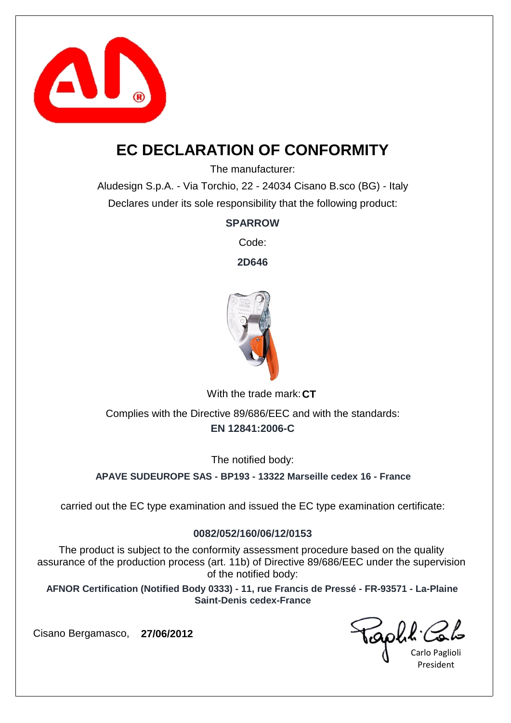

## **EC DECLARATION OF CONFORMITY**

The manufacturer:

Aludesign S.p.A. - Via Torchio, 22 - 24034 Cisano B.sco (BG) - Italy Declares under its sole responsibility that the following product:

**SPARROW**

Code:

**2D646**



With the trade mark: CT

**EN 12841:2006-C** Complies with the Directive 89/686/EEC and with the standards:

The notified body:

**APAVE SUDEUROPE SAS - BP193 - 13322 Marseille cedex 16 - France**

carried out the EC type examination and issued the EC type examination certificate:

#### **0082/052/160/06/12/0153**

The product is subject to the conformity assessment procedure based on the quality assurance of the production process (art. 11b) of Directive 89/686/EEC under the supervision of the notified body:

**AFNOR Certification (Notified Body 0333) - 11, rue Francis de Pressé - FR-93571 - La-Plaine Saint-Denis cedex-France**

Carlo Paglioli President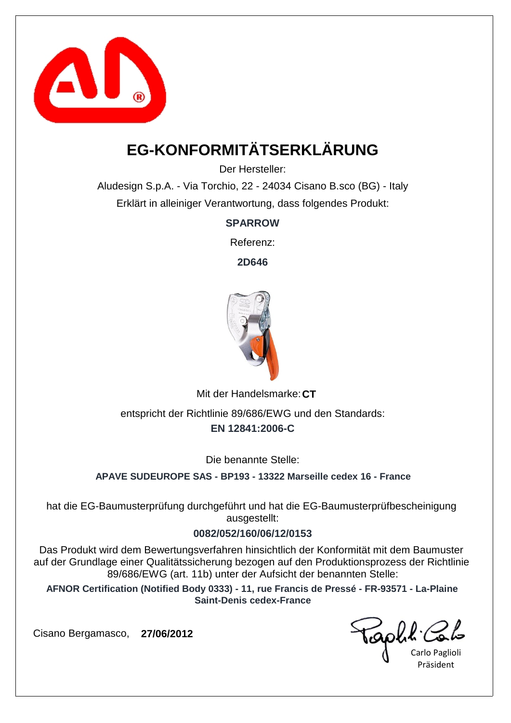

# **EG-KONFORMITÄTSERKLÄRUNG**

Der Hersteller:

Aludesign S.p.A. - Via Torchio, 22 - 24034 Cisano B.sco (BG) - Italy Erklärt in alleiniger Verantwortung, dass folgendes Produkt:

**SPARROW**

Referenz:

**2D646**



Mit der Handelsmarke: CT

**EN 12841:2006-C** entspricht der Richtlinie 89/686/EWG und den Standards:

Die benannte Stelle:

**APAVE SUDEUROPE SAS - BP193 - 13322 Marseille cedex 16 - France**

hat die EG-Baumusterprüfung durchgeführt und hat die EG-Baumusterprüfbescheinigung ausgestellt:

#### **0082/052/160/06/12/0153**

Das Produkt wird dem Bewertungsverfahren hinsichtlich der Konformität mit dem Baumuster auf der Grundlage einer Qualitätssicherung bezogen auf den Produktionsprozess der Richtlinie 89/686/EWG (art. 11b) unter der Aufsicht der benannten Stelle:

**AFNOR Certification (Notified Body 0333) - 11, rue Francis de Pressé - FR-93571 - La-Plaine Saint-Denis cedex-France**

Carlo Paglioli Präsident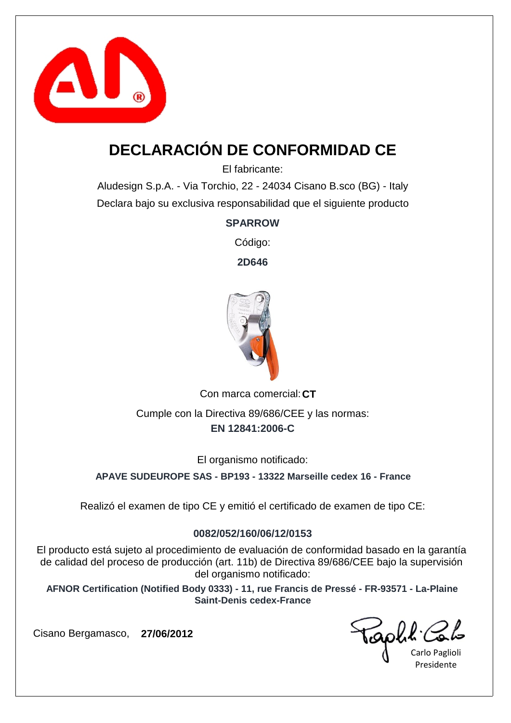

# **DECLARACIÓN DE CONFORMIDAD CE**

El fabricante:

Aludesign S.p.A. - Via Torchio, 22 - 24034 Cisano B.sco (BG) - Italy Declara bajo su exclusiva responsabilidad que el siguiente producto

**SPARROW**

Código:

**2D646**



Con marca comercial: CT **EN 12841:2006-C** Cumple con la Directiva 89/686/CEE y las normas:

El organismo notificado:

**APAVE SUDEUROPE SAS - BP193 - 13322 Marseille cedex 16 - France**

Realizó el examen de tipo CE y emitió el certificado de examen de tipo CE:

### **0082/052/160/06/12/0153**

El producto está sujeto al procedimiento de evaluación de conformidad basado en la garantía de calidad del proceso de producción (art. 11b) de Directiva 89/686/CEE bajo la supervisión del organismo notificado:

**AFNOR Certification (Notified Body 0333) - 11, rue Francis de Pressé - FR-93571 - La-Plaine Saint-Denis cedex-France**

Carlo Paglioli Presidente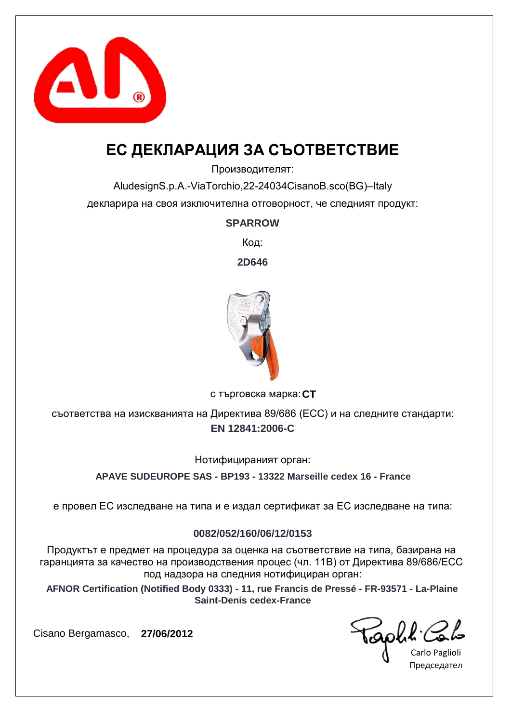

## **ЕС ДЕКЛАРАЦИЯ ЗА СЪОТВЕТСТВИЕ**

Производителят:

AludesignS.p.A.-ViaTorchio,22-24034CisanoB.sco(BG)–Italy декларира на своя изключителна отговорност, че следният продукт:

#### **SPARROW**

Код:

**2D646**



**CT** с търговска марка:

**EN 12841:2006-C** съответства на изискванията на Директива 89/686 (ЕСС) и на следните стандарти:

Нотифицираният орган:

**APAVE SUDEUROPE SAS - BP193 - 13322 Marseille cedex 16 - France**

е провел ЕС изследване на типа и е издал сертификат за ЕС изследване на типа:

#### **0082/052/160/06/12/0153**

Продуктът е предмет на процедура за оценка на съответствие на типа, базирана на гаранцията за качество на производствения процес (чл. 11B) от Директива 89/686/ЕСС под надзора на следния нотифициран орган:

**AFNOR Certification (Notified Body 0333) - 11, rue Francis de Pressé - FR-93571 - La-Plaine Saint-Denis cedex-France**

Carlo Paglioli Председател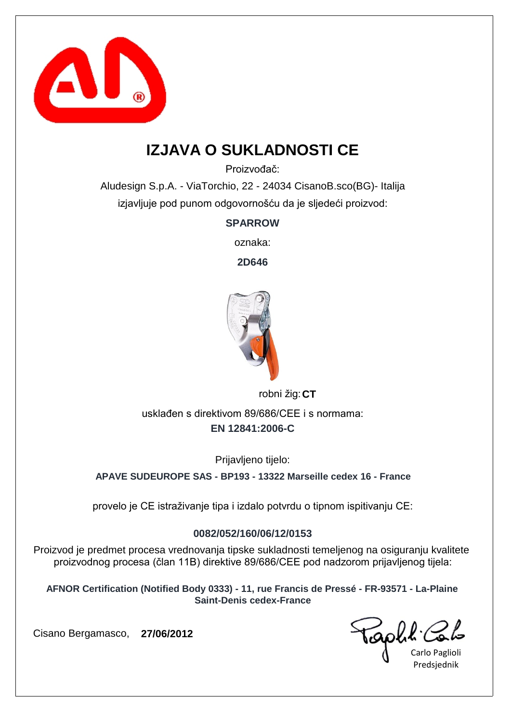

## **IZJAVA O SUKLADNOSTI CE**

Proizvođač:

Aludesign S.p.A. - ViaTorchio, 22 - 24034 CisanoB.sco(BG)- Italija izjavljuje pod punom odgovornošću da je sljedeći proizvod:

**SPARROW**

oznaka:

**2D646**



robni žig: **CT** 

**EN 12841:2006-C** usklađen s direktivom 89/686/CEE i s normama:

Prijavljeno tijelo:

**APAVE SUDEUROPE SAS - BP193 - 13322 Marseille cedex 16 - France**

provelo je CE istraživanje tipa i izdalo potvrdu o tipnom ispitivanju CE:

### **0082/052/160/06/12/0153**

Proizvod je predmet procesa vrednovanja tipske sukladnosti temeljenog na osiguranju kvalitete proizvodnog procesa (član 11B) direktive 89/686/CEE pod nadzorom prijavljenog tijela:

**AFNOR Certification (Notified Body 0333) - 11, rue Francis de Pressé - FR-93571 - La-Plaine Saint-Denis cedex-France**

Carlo Paglioli Predsjednik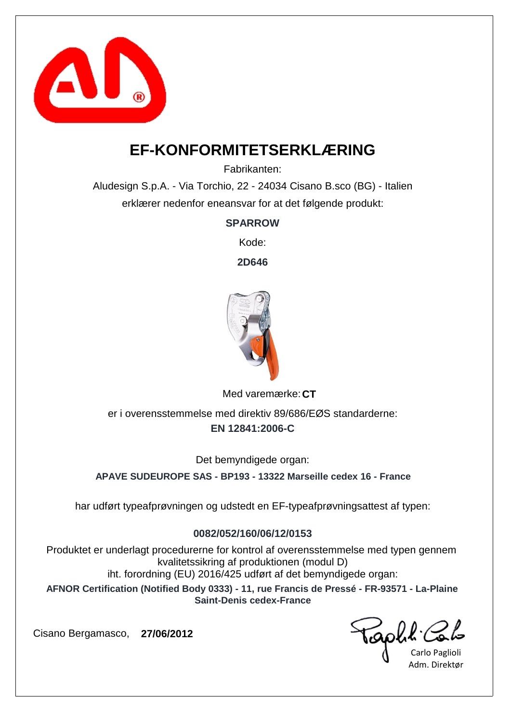

### **EF-KONFORMITETSERKLÆRING**

Fabrikanten:

Aludesign S.p.A. - Via Torchio, 22 - 24034 Cisano B.sco (BG) - Italien erklærer nedenfor eneansvar for at det følgende produkt:

**SPARROW**

Kode:

**2D646**



Med varemærke: CT

**EN 12841:2006-C** er i overensstemmelse med direktiv 89/686/EØS standarderne:

Det bemyndigede organ:

**APAVE SUDEUROPE SAS - BP193 - 13322 Marseille cedex 16 - France**

har udført typeafprøvningen og udstedt en EF-typeafprøvningsattest af typen:

#### **0082/052/160/06/12/0153**

Produktet er underlagt procedurerne for kontrol af overensstemmelse med typen gennem kvalitetssikring af produktionen (modul D) iht. forordning (EU) 2016/425 udført af det bemyndigede organ:

**AFNOR Certification (Notified Body 0333) - 11, rue Francis de Pressé - FR-93571 - La-Plaine Saint-Denis cedex-France**

Carlo Paglioli Adm. Direktør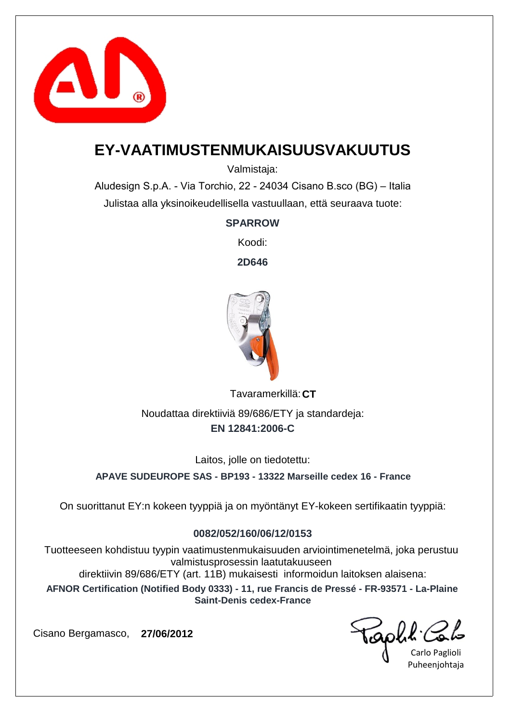

### **EY-VAATIMUSTENMUKAISUUSVAKUUTUS**

Valmistaja:

Aludesign S.p.A. - Via Torchio, 22 - 24034 Cisano B.sco (BG) – Italia Julistaa alla yksinoikeudellisella vastuullaan, että seuraava tuote:

#### **SPARROW**

Koodi:

**2D646**



**CT** Tavaramerkillä: Noudattaa direktiiviä 89/686/ETY ja standardeja:

### **EN 12841:2006-C**

Laitos, jolle on tiedotettu:

**APAVE SUDEUROPE SAS - BP193 - 13322 Marseille cedex 16 - France**

On suorittanut EY:n kokeen tyyppiä ja on myöntänyt EY-kokeen sertifikaatin tyyppiä:

### **0082/052/160/06/12/0153**

Tuotteeseen kohdistuu tyypin vaatimustenmukaisuuden arviointimenetelmä, joka perustuu valmistusprosessin laatutakuuseen

direktiivin 89/686/ETY (art. 11B) mukaisesti informoidun laitoksen alaisena:

**AFNOR Certification (Notified Body 0333) - 11, rue Francis de Pressé - FR-93571 - La-Plaine Saint-Denis cedex-France**

Carlo Paglioli Puheenjohtaja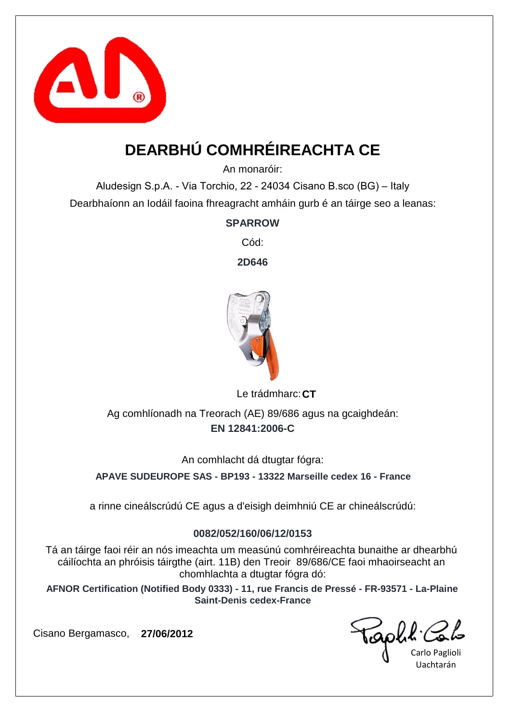

# **DEARBHÚ COMHRÉIREACHTA CE**

An monaróir:

Aludesign S.p.A. - Via Torchio, 22 - 24034 Cisano B.sco (BG) – Italy Dearbhaíonn an Iodáil faoina fhreagracht amháin gurb é an táirge seo a leanas:

**SPARROW**

Cód:

**2D646**



Le trádmharc: CT

**EN 12841:2006-C** Ag comhlíonadh na Treorach (AE) 89/686 agus na gcaighdeán:

An comhlacht dá dtugtar fógra:

**APAVE SUDEUROPE SAS - BP193 - 13322 Marseille cedex 16 - France**

a rinne cineálscrúdú CE agus a d'eisigh deimhniú CE ar chineálscrúdú:

#### **0082/052/160/06/12/0153**

Tá an táirge faoi réir an nós imeachta um measúnú comhréireachta bunaithe ar dhearbhú cáilíochta an phróisis táirgthe (airt. 11B) den Treoir 89/686/CE faoi mhaoirseacht an chomhlachta a dtugtar fógra dó:

**AFNOR Certification (Notified Body 0333) - 11, rue Francis de Pressé - FR-93571 - La-Plaine Saint-Denis cedex-France**

Carlo Paglioli Uachtarán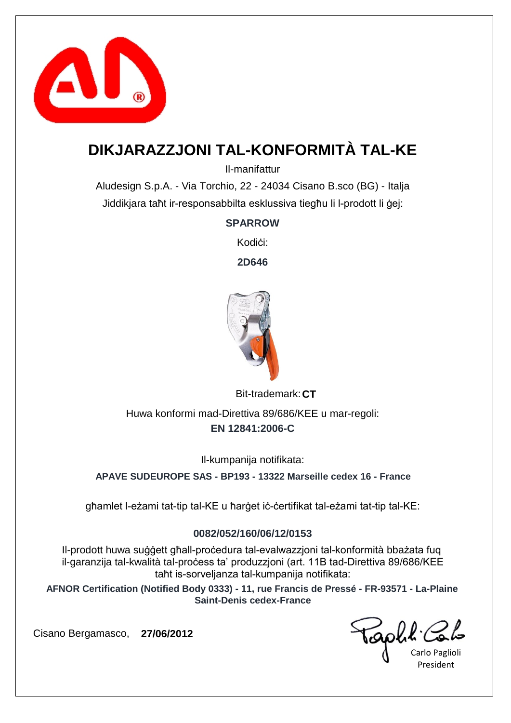

# **DIKJARAZZJONI TAL-KONFORMITÀ TAL-KE**

Il-manifattur

Aludesign S.p.A. - Via Torchio, 22 - 24034 Cisano B.sco (BG) - Italja Jiddikjara taħt ir-responsabbilta esklussiva tiegħu li l-prodott li ġej:

### **SPARROW**

Kodiċi<sup>-</sup>

**2D646**



Bit-trademark: CT

**EN 12841:2006-C** Huwa konformi mad-Direttiva 89/686/KEE u mar-regoli:

Il-kumpanija notifikata:

**APAVE SUDEUROPE SAS - BP193 - 13322 Marseille cedex 16 - France**

għamlet l-eżami tat-tip tal-KE u ħarġet iċ-ċertifikat tal-eżami tat-tip tal-KE:

### **0082/052/160/06/12/0153**

Il-prodott huwa suġġett għall-proċedura tal-evalwazzjoni tal-konformità bbażata fuq il-garanzija tal-kwalità tal-process ta' produzzjoni (art. 11B tad-Direttiva 89/686/KEE taħt is-sorveljanza tal-kumpanija notifikata:

**AFNOR Certification (Notified Body 0333) - 11, rue Francis de Pressé - FR-93571 - La-Plaine Saint-Denis cedex-France**

Carlo Paglioli President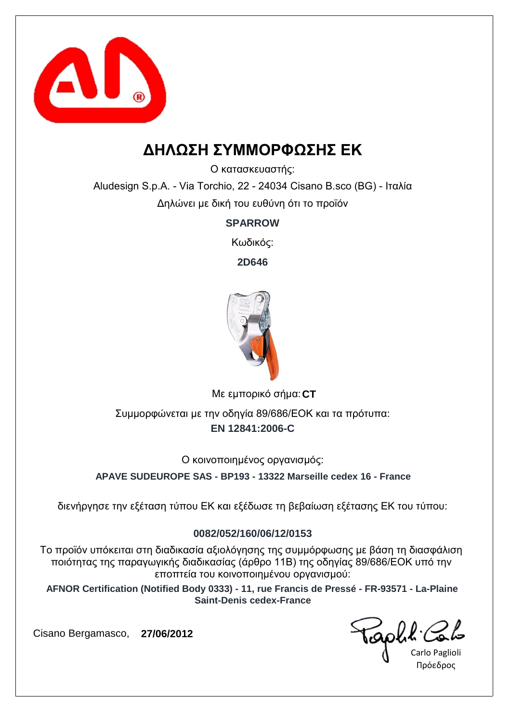

## **ΔΗΛΩΣΗ ΣΥΜΜΟΡΦΩΣΗΣ ΕΚ**

Ο κατασκευαστής:

Aludesign S.p.A. - Via Torchio, 22 - 24034 Cisano B.sco (BG) - Ιταλία Δηλώνει με δική του ευθύνη ότι το προϊόν

**SPARROW**

Κωδικός:

**2D646**



**CT** Με εμπορικό σήμα:

**EN 12841:2006-C** Συμμορφώνεται με την οδηγία 89/686/ΕΟΚ και τα πρότυπα:

Ο κοινοποιημένος οργανισμός:

**APAVE SUDEUROPE SAS - BP193 - 13322 Marseille cedex 16 - France**

διενήργησε την εξέταση τύπου ΕΚ και εξέδωσε τη βεβαίωση εξέτασης ΕΚ του τύπου:

#### **0082/052/160/06/12/0153**

Το προϊόν υπόκειται στη διαδικασία αξιολόγησης της συμμόρφωσης με βάση τη διασφάλιση ποιότητας της παραγωγικής διαδικασίας (άρθρο 11Β) της οδηγίας 89/686/ΕΟΚ υπό την εποπτεία του κοινοποιημένου οργανισμού:

**AFNOR Certification (Notified Body 0333) - 11, rue Francis de Pressé - FR-93571 - La-Plaine Saint-Denis cedex-France**

Carlo Paglioli Πρόεδρος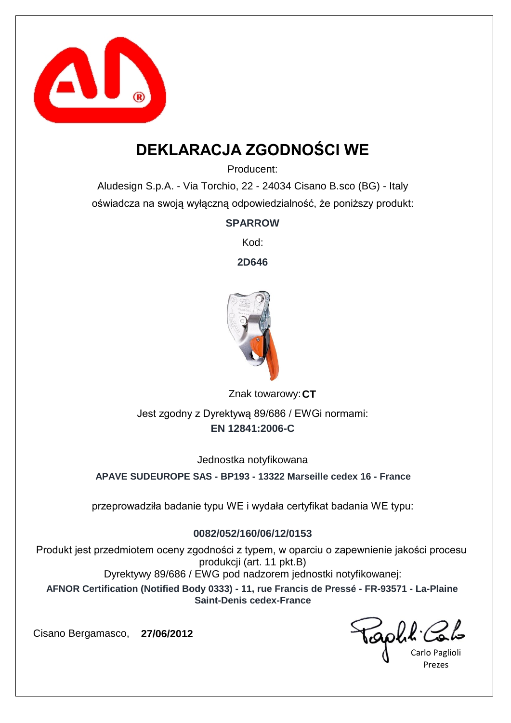

# **DEKLARACJA ZGODNOŚCI WE**

Producent:

Aludesign S.p.A. - Via Torchio, 22 - 24034 Cisano B.sco (BG) - Italy oświadcza na swoją wyłączną odpowiedzialność, że poniższy produkt:

**SPARROW**

Kod:

**2D646**



Znak towarowy: CT **EN 12841:2006-C** Jest zgodny z Dyrektywą 89/686 / EWGi normami:

Jednostka notyfikowana

**APAVE SUDEUROPE SAS - BP193 - 13322 Marseille cedex 16 - France**

przeprowadziła badanie typu WE i wydała certyfikat badania WE typu:

### **0082/052/160/06/12/0153**

Produkt jest przedmiotem oceny zgodności z typem, w oparciu o zapewnienie jakości procesu produkcji (art. 11 pkt.B) Dyrektywy 89/686 / EWG pod nadzorem jednostki notyfikowanej:

**AFNOR Certification (Notified Body 0333) - 11, rue Francis de Pressé - FR-93571 - La-Plaine Saint-Denis cedex-France**

Carlo Paglioli Prezes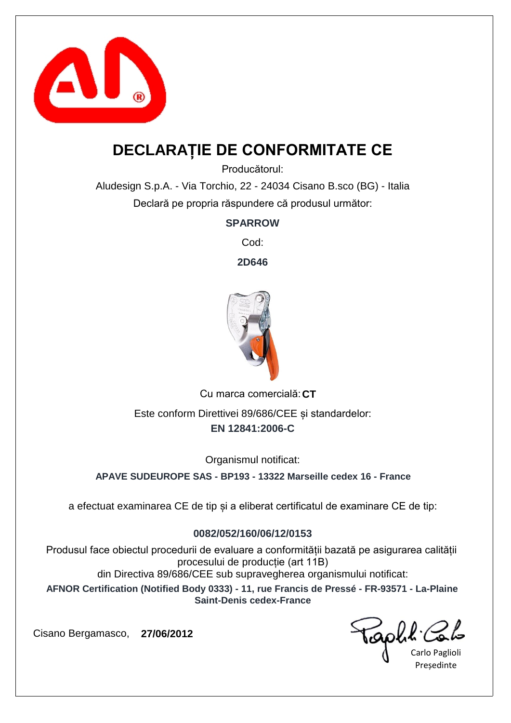

## **DECLARAȚIE DE CONFORMITATE CE**

Producătorul:

Aludesign S.p.A. - Via Torchio, 22 - 24034 Cisano B.sco (BG) - Italia Declară pe propria răspundere că produsul următor:

**SPARROW**

Cod:

**2D646**



Cu marca comercială: CT **EN 12841:2006-C** Este conform Direttivei 89/686/CEE și standardelor:

Organismul notificat:

**APAVE SUDEUROPE SAS - BP193 - 13322 Marseille cedex 16 - France**

a efectuat examinarea CE de tip și a eliberat certificatul de examinare CE de tip:

#### **0082/052/160/06/12/0153**

Produsul face obiectul procedurii de evaluare a conformității bazată pe asigurarea calității procesului de producție (art 11B) din Directiva 89/686/CEE sub supravegherea organismului notificat:

**AFNOR Certification (Notified Body 0333) - 11, rue Francis de Pressé - FR-93571 - La-Plaine Saint-Denis cedex-France**

Carlo Paglioli Președinte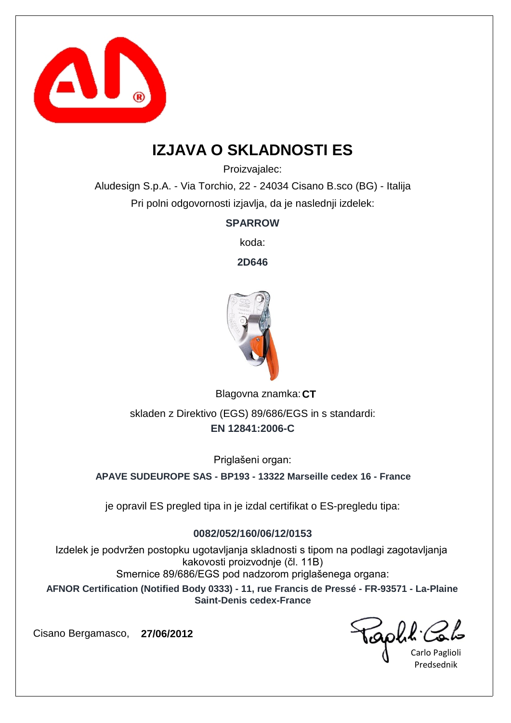

## **IZJAVA O SKLADNOSTI ES**

Proizvajalec:

Aludesign S.p.A. - Via Torchio, 22 - 24034 Cisano B.sco (BG) - Italija Pri polni odgovornosti izjavlja, da je naslednji izdelek:

**SPARROW**

koda:

**2D646**



Blagovna znamka: CT **EN 12841:2006-C** skladen z Direktivo (EGS) 89/686/EGS in s standardi:

Priglašeni organ:

**APAVE SUDEUROPE SAS - BP193 - 13322 Marseille cedex 16 - France**

je opravil ES pregled tipa in je izdal certifikat o ES-pregledu tipa:

### **0082/052/160/06/12/0153**

Izdelek je podvržen postopku ugotavljanja skladnosti s tipom na podlagi zagotavljanja kakovosti proizvodnje (čl. 11B) Smernice 89/686/EGS pod nadzorom priglašenega organa:

**AFNOR Certification (Notified Body 0333) - 11, rue Francis de Pressé - FR-93571 - La-Plaine Saint-Denis cedex-France**

Carlo Paglioli Predsednik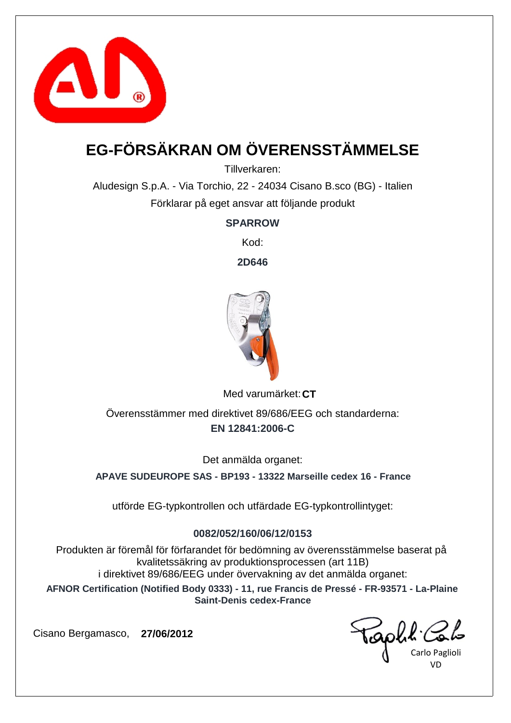

# **EG-FÖRSÄKRAN OM ÖVERENSSTÄMMELSE**

Tillverkaren:

Aludesign S.p.A. - Via Torchio, 22 - 24034 Cisano B.sco (BG) - Italien Förklarar på eget ansvar att följande produkt

**SPARROW**

Kod:

**2D646**



Med varumärket: CT

**EN 12841:2006-C** Överensstämmer med direktivet 89/686/EEG och standarderna:

Det anmälda organet:

**APAVE SUDEUROPE SAS - BP193 - 13322 Marseille cedex 16 - France**

utförde EG-typkontrollen och utfärdade EG-typkontrollintyget:

#### **0082/052/160/06/12/0153**

Produkten är föremål för förfarandet för bedömning av överensstämmelse baserat på kvalitetssäkring av produktionsprocessen (art 11B) i direktivet 89/686/EEG under övervakning av det anmälda organet:

**AFNOR Certification (Notified Body 0333) - 11, rue Francis de Pressé - FR-93571 - La-Plaine Saint-Denis cedex-France**

Carlo Paglioli VD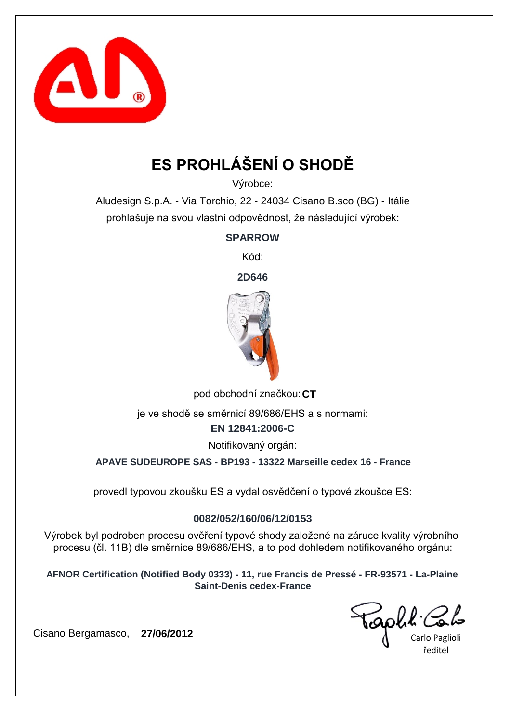

# **ES PROHLÁŠENÍ O SHODĚ**

Výrobce:

Aludesign S.p.A. - Via Torchio, 22 - 24034 Cisano B.sco (BG) - Itálie prohlašuje na svou vlastní odpovědnost, že následující výrobek:

**SPARROW**

Kód:

**2D646**



pod obchodní značkou: CT

je ve shodě se směrnicí 89/686/EHS a s normami:

**EN 12841:2006-C**

Notifikovaný orgán:

**APAVE SUDEUROPE SAS - BP193 - 13322 Marseille cedex 16 - France**

provedl typovou zkoušku ES a vydal osvědčení o typové zkoušce ES:

### **0082/052/160/06/12/0153**

Výrobek byl podroben procesu ověření typové shody založené na záruce kvality výrobního procesu (čl. 11B) dle směrnice 89/686/EHS, a to pod dohledem notifikovaného orgánu:

**AFNOR Certification (Notified Body 0333) - 11, rue Francis de Pressé - FR-93571 - La-Plaine Saint-Denis cedex-France**

Carlo Paglioli ředitel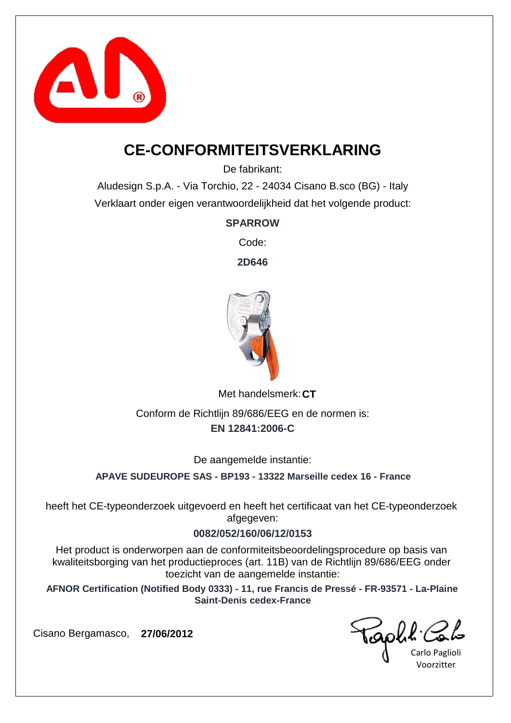

### **CE-CONFORMITEITSVERKLARING**

De fabrikant:

Aludesign S.p.A. - Via Torchio, 22 - 24034 Cisano B.sco (BG) - Italy Verklaart onder eigen verantwoordelijkheid dat het volgende product:

### **SPARROW**

Code:

**2D646**



Met handelsmerk: CT

**EN 12841:2006-C** Conform de Richtlijn 89/686/EEG en de normen is:

De aangemelde instantie:

**APAVE SUDEUROPE SAS - BP193 - 13322 Marseille cedex 16 - France**

heeft het CE-typeonderzoek uitgevoerd en heeft het certificaat van het CE-typeonderzoek afgegeven:

### **0082/052/160/06/12/0153**

Het product is onderworpen aan de conformiteitsbeoordelingsprocedure op basis van kwaliteitsborging van het productieproces (art. 11B) van de Richtlijn 89/686/EEG onder toezicht van de aangemelde instantie:

**AFNOR Certification (Notified Body 0333) - 11, rue Francis de Pressé - FR-93571 - La-Plaine Saint-Denis cedex-France**

Carlo Paglioli Voorzitter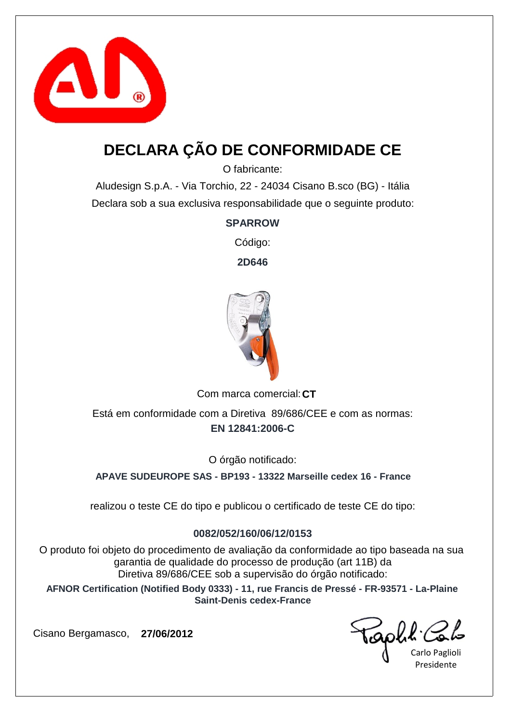

## **DECLARA ÇÃO DE CONFORMIDADE CE**

O fabricante:

Aludesign S.p.A. - Via Torchio, 22 - 24034 Cisano B.sco (BG) - Itália Declara sob a sua exclusiva responsabilidade que o seguinte produto:

**SPARROW**

Código:

**2D646**



Com marca comercial: CT

**EN 12841:2006-C** Está em conformidade com a Diretiva 89/686/CEE e com as normas:

O órgão notificado:

**APAVE SUDEUROPE SAS - BP193 - 13322 Marseille cedex 16 - France**

realizou o teste CE do tipo e publicou o certificado de teste CE do tipo:

#### **0082/052/160/06/12/0153**

O produto foi objeto do procedimento de avaliação da conformidade ao tipo baseada na sua garantia de qualidade do processo de produção (art 11B) da Diretiva 89/686/CEE sob a supervisão do órgão notificado:

**AFNOR Certification (Notified Body 0333) - 11, rue Francis de Pressé - FR-93571 - La-Plaine Saint-Denis cedex-France**

Carlo Paglioli Presidente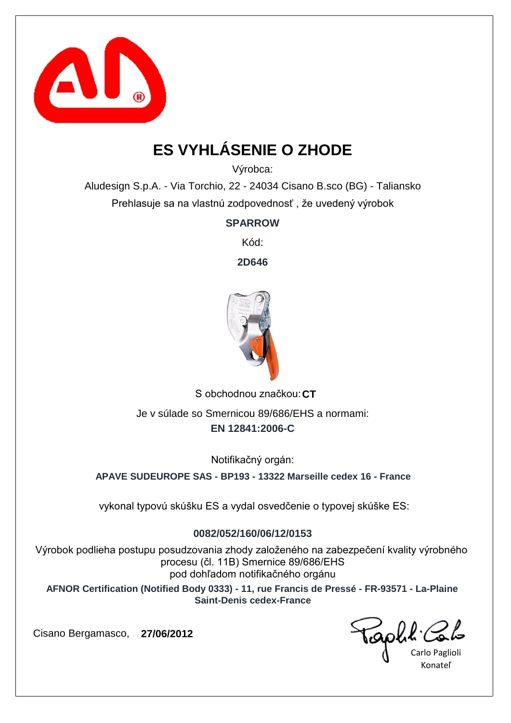

# **ES VYHLÁSENIE O ZHODE**

Výrobca:

Aludesign S.p.A. - Via Torchio, 22 - 24034 Cisano B.sco (BG) - Taliansko Prehlasuje sa na vlastnú zodpovednosť , že uvedený výrobok

**SPARROW**

Kód:

**2D646**



S obchodnou značkou: CT **EN 12841:2006-C** Je v súlade so Smernicou 89/686/EHS a normami:

Notifikačný orgán:

**APAVE SUDEUROPE SAS - BP193 - 13322 Marseille cedex 16 - France**

vykonal typovú skúšku ES a vydal osvedčenie o typovej skúške ES:

### **0082/052/160/06/12/0153**

Výrobok podlieha postupu posudzovania zhody založeného na zabezpečení kvality výrobného procesu (čl. 11B) Smernice 89/686/EHS pod dohľadom notifikačného orgánu

**AFNOR Certification (Notified Body 0333) - 11, rue Francis de Pressé - FR-93571 - La-Plaine Saint-Denis cedex-France**

Carlo Paglioli Konateľ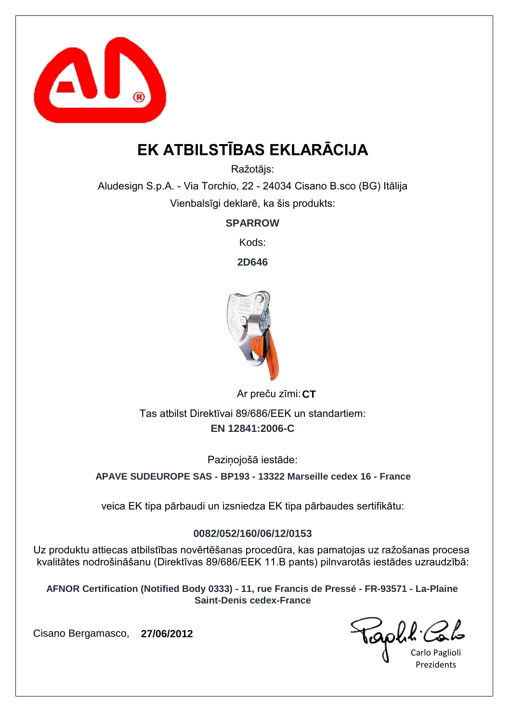

# **EK ATBILSTĪBAS EKLARĀCIJA**

Ražotājs:

Aludesign S.p.A. - Via Torchio, 22 - 24034 Cisano B.sco (BG) Itālija Vienbalsīgi deklarē, ka šis produkts:

**SPARROW**

Kods:

**2D646**



Ar preču zīmi: CT **EN 12841:2006-C** Tas atbilst Direktīvai 89/686/EEK un standartiem:

Pazinojošā iestāde:

**APAVE SUDEUROPE SAS - BP193 - 13322 Marseille cedex 16 - France**

veica EK tipa pārbaudi un izsniedza EK tipa pārbaudes sertifikātu:

### **0082/052/160/06/12/0153**

Uz produktu attiecas atbilstības novērtēšanas procedūra, kas pamatojas uz ražošanas procesa kvalitātes nodrošināšanu (Direktīvas 89/686/EEK 11.B pants) pilnvarotās iestādes uzraudzībā:

**AFNOR Certification (Notified Body 0333) - 11, rue Francis de Pressé - FR-93571 - La-Plaine Saint-Denis cedex-France**

Carlo Paglioli Prezidents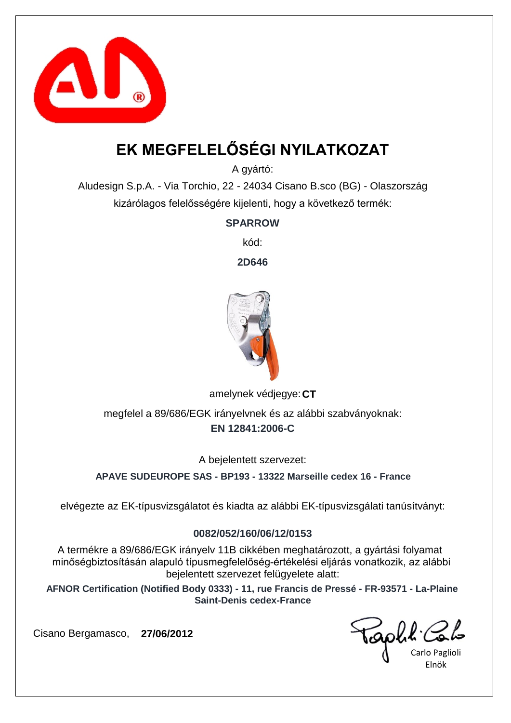

# **EK MEGFELELŐSÉGI NYILATKOZAT**

A gyártó:

Aludesign S.p.A. - Via Torchio, 22 - 24034 Cisano B.sco (BG) - Olaszország kizárólagos felelősségére kijelenti, hogy a következő termék:

**SPARROW**

kód:

**2D646**



amelynek védjegye: CT

**EN 12841:2006-C** megfelel a 89/686/EGK irányelvnek és az alábbi szabványoknak:

A bejelentett szervezet:

**APAVE SUDEUROPE SAS - BP193 - 13322 Marseille cedex 16 - France**

elvégezte az EK-típusvizsgálatot és kiadta az alábbi EK-típusvizsgálati tanúsítványt:

### **0082/052/160/06/12/0153**

A termékre a 89/686/EGK irányelv 11B cikkében meghatározott, a gyártási folyamat minőségbiztosításán alapuló típusmegfelelőség-értékelési eljárás vonatkozik, az alábbi bejelentett szervezet felügyelete alatt:

**AFNOR Certification (Notified Body 0333) - 11, rue Francis de Pressé - FR-93571 - La-Plaine Saint-Denis cedex-France**

Carlo Paglioli Elnök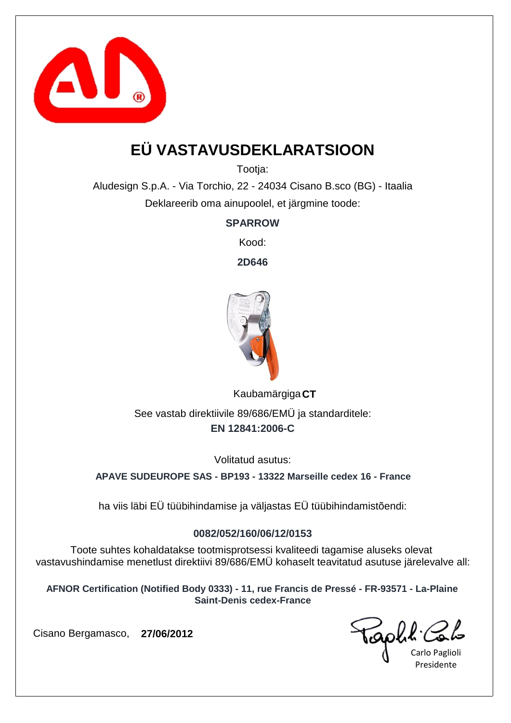

# **EÜ VASTAVUSDEKLARATSIOON**

Tootja:

Aludesign S.p.A. - Via Torchio, 22 - 24034 Cisano B.sco (BG) - Itaalia Deklareerib oma ainupoolel, et järgmine toode:

**SPARROW**

Kood:

**2D646**



**CT** Kaubamärgiga **EN 12841:2006-C** See vastab direktiivile 89/686/EMÜ ja standarditele:

Volitatud asutus:

**APAVE SUDEUROPE SAS - BP193 - 13322 Marseille cedex 16 - France**

ha viis läbi EÜ tüübihindamise ja väljastas EÜ tüübihindamistõendi:

### **0082/052/160/06/12/0153**

Toote suhtes kohaldatakse tootmisprotsessi kvaliteedi tagamise aluseks olevat vastavushindamise menetlust direktiivi 89/686/EMÜ kohaselt teavitatud asutuse järelevalve all:

**AFNOR Certification (Notified Body 0333) - 11, rue Francis de Pressé - FR-93571 - La-Plaine Saint-Denis cedex-France**

Carlo Paglioli Presidente